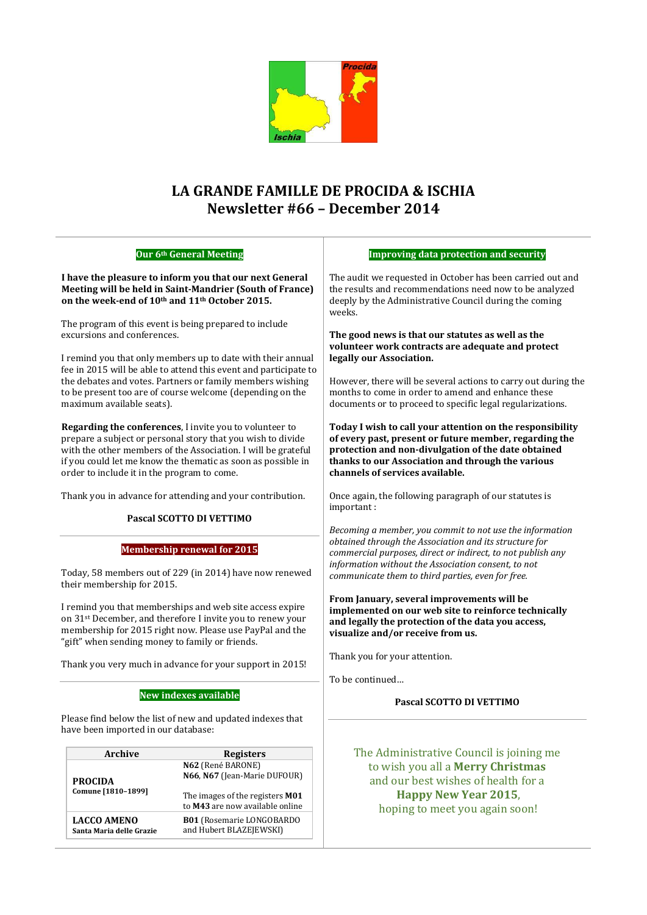

## **LA GRANDE FAMILLE DE PROCIDA & ISCHIA Newsletter #66 – December 2014**

| Our 6th General Meeting                                                                                                                                                                                                                                                                                |                                                   | <b>Improving data protection and security</b>                                                                                                                                                                                                                      |
|--------------------------------------------------------------------------------------------------------------------------------------------------------------------------------------------------------------------------------------------------------------------------------------------------------|---------------------------------------------------|--------------------------------------------------------------------------------------------------------------------------------------------------------------------------------------------------------------------------------------------------------------------|
| I have the pleasure to inform you that our next General<br>Meeting will be held in Saint-Mandrier (South of France)<br>on the week-end of 10 <sup>th</sup> and 11 <sup>th</sup> October 2015.                                                                                                          |                                                   | The audit we requested in October has been carried out and<br>the results and recommendations need now to be analyzed<br>deeply by the Administrative Council during the coming<br>weeks.                                                                          |
| The program of this event is being prepared to include<br>excursions and conferences.                                                                                                                                                                                                                  |                                                   | The good news is that our statutes as well as the<br>volunteer work contracts are adequate and protect                                                                                                                                                             |
| I remind you that only members up to date with their annual<br>fee in 2015 will be able to attend this event and participate to<br>the debates and votes. Partners or family members wishing<br>to be present too are of course welcome (depending on the<br>maximum available seats).                 |                                                   | legally our Association.                                                                                                                                                                                                                                           |
|                                                                                                                                                                                                                                                                                                        |                                                   | However, there will be several actions to carry out during the<br>months to come in order to amend and enhance these<br>documents or to proceed to specific legal regularizations.                                                                                 |
| Regarding the conferences, I invite you to volunteer to<br>prepare a subject or personal story that you wish to divide<br>with the other members of the Association. I will be grateful<br>if you could let me know the thematic as soon as possible in<br>order to include it in the program to come. |                                                   | Today I wish to call your attention on the responsibility<br>of every past, present or future member, regarding the<br>protection and non-divulgation of the date obtained<br>thanks to our Association and through the various<br>channels of services available. |
| Thank you in advance for attending and your contribution.                                                                                                                                                                                                                                              |                                                   | Once again, the following paragraph of our statutes is<br>important:                                                                                                                                                                                               |
| Pascal SCOTTO DI VETTIMO                                                                                                                                                                                                                                                                               |                                                   | Becoming a member, you commit to not use the information                                                                                                                                                                                                           |
| <b>Membership renewal for 2015</b><br>Today, 58 members out of 229 (in 2014) have now renewed<br>their membership for 2015.                                                                                                                                                                            |                                                   | obtained through the Association and its structure for<br>commercial purposes, direct or indirect, to not publish any<br>information without the Association consent, to not<br>communicate them to third parties, even for free.                                  |
| I remind you that memberships and web site access expire<br>on 31 <sup>st</sup> December, and therefore I invite you to renew your<br>membership for 2015 right now. Please use PayPal and the<br>"gift" when sending money to family or friends.                                                      |                                                   | From January, several improvements will be<br>implemented on our web site to reinforce technically<br>and legally the protection of the data you access,<br>visualize and/or receive from us.                                                                      |
| Thank you very much in advance for your support in 2015!                                                                                                                                                                                                                                               |                                                   | Thank you for your attention.                                                                                                                                                                                                                                      |
|                                                                                                                                                                                                                                                                                                        |                                                   | To be continued                                                                                                                                                                                                                                                    |
| <b>New indexes available</b>                                                                                                                                                                                                                                                                           |                                                   | Pascal SCOTTO DI VETTIMO                                                                                                                                                                                                                                           |
| Please find below the list of new and updated indexes that<br>have been imported in our database:                                                                                                                                                                                                      |                                                   |                                                                                                                                                                                                                                                                    |
| Archive                                                                                                                                                                                                                                                                                                | <b>Registers</b>                                  | The Administrative Council is joining me                                                                                                                                                                                                                           |
| <b>PROCIDA</b><br>Comune [1810-1899]                                                                                                                                                                                                                                                                   | N62 (René BARONE)<br>N66, N67 (Jean-Marie DUFOUR) | to wish you all a Merry Christmas<br>and our best wishes of health for a                                                                                                                                                                                           |
|                                                                                                                                                                                                                                                                                                        | The images of the registers M01                   | <b>Happy New Year 2015,</b>                                                                                                                                                                                                                                        |
|                                                                                                                                                                                                                                                                                                        | to M43 are now available online                   | hoping to meet you again soon!                                                                                                                                                                                                                                     |

**LACCO AMENO Santa Maria delle Grazie** **B01** (Rosemarie LONGOBARDO and Hubert BLAZEJEWSKI)